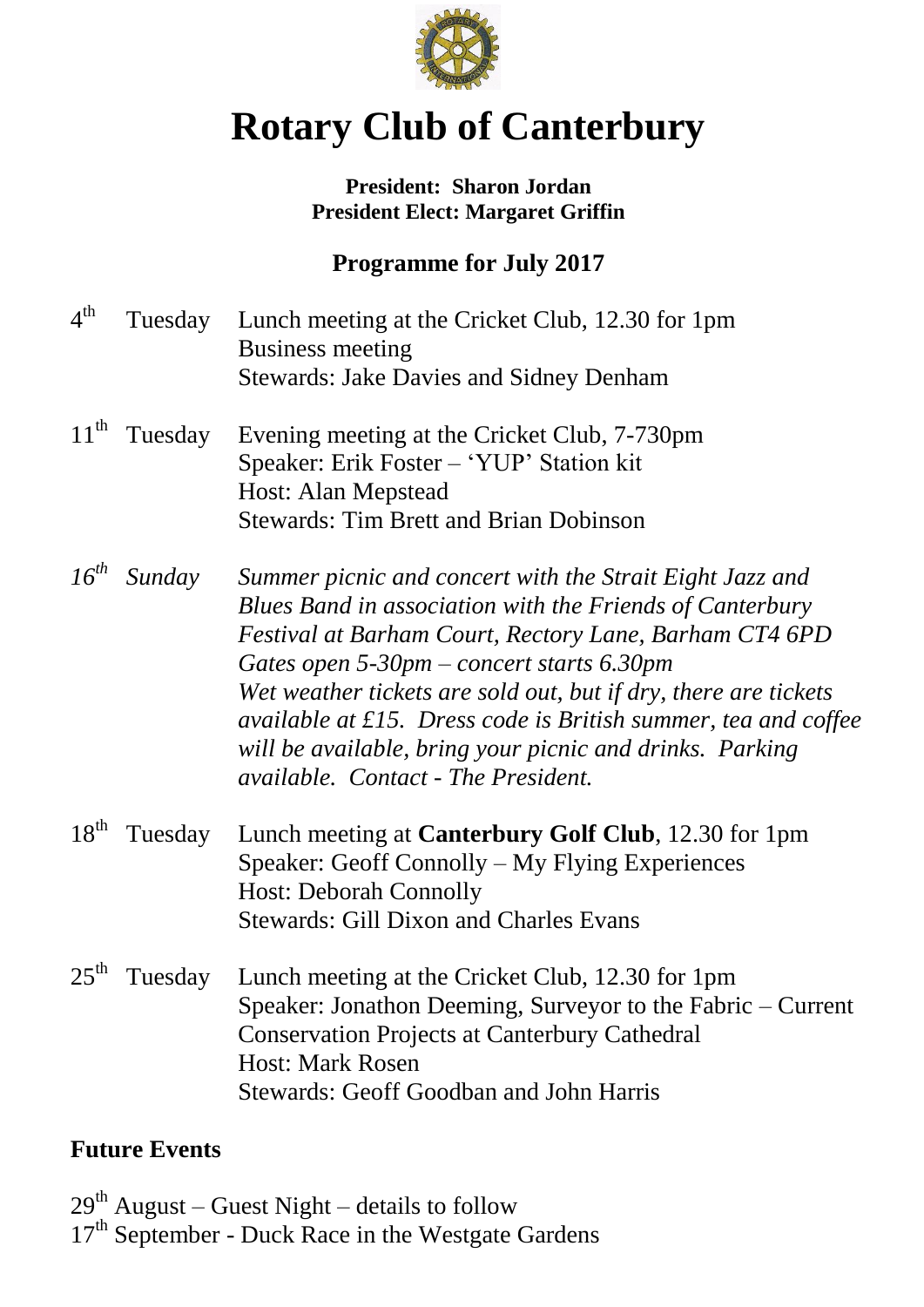

# **Rotary Club of Canterbury**

# **President: Sharon Jordan President Elect: Margaret Griffin**

# **Programme for July 2017**

| 4 <sup>th</sup>  | Tuesday | Lunch meeting at the Cricket Club, 12.30 for 1pm<br><b>Business meeting</b><br><b>Stewards: Jake Davies and Sidney Denham</b>                                                                                                                                                                                                                                                                                                                                                 |
|------------------|---------|-------------------------------------------------------------------------------------------------------------------------------------------------------------------------------------------------------------------------------------------------------------------------------------------------------------------------------------------------------------------------------------------------------------------------------------------------------------------------------|
| $11^{\text{th}}$ | Tuesday | Evening meeting at the Cricket Club, 7-730pm<br>Speaker: Erik Foster – 'YUP' Station kit<br>Host: Alan Mepstead<br><b>Stewards: Tim Brett and Brian Dobinson</b>                                                                                                                                                                                                                                                                                                              |
| $16^{th}$        | Sunday  | Summer picnic and concert with the Strait Eight Jazz and<br>Blues Band in association with the Friends of Canterbury<br>Festival at Barham Court, Rectory Lane, Barham CT4 6PD<br>Gates open $5-30$ pm – concert starts 6.30pm<br>Wet weather tickets are sold out, but if dry, there are tickets<br>available at £15. Dress code is British summer, tea and coffee<br>will be available, bring your picnic and drinks. Parking<br><i>available.</i> Contact - The President. |
| $18^{th}$        | Tuesday | Lunch meeting at <b>Canterbury Golf Club</b> , 12.30 for 1pm<br>Speaker: Geoff Connolly – My Flying Experiences<br><b>Host: Deborah Connolly</b><br><b>Stewards: Gill Dixon and Charles Evans</b>                                                                                                                                                                                                                                                                             |
| $25^{\text{th}}$ | Tuesday | Lunch meeting at the Cricket Club, 12.30 for 1pm<br>Speaker: Jonathon Deeming, Surveyor to the Fabric – Current<br><b>Conservation Projects at Canterbury Cathedral</b><br><b>Host: Mark Rosen</b><br><b>Stewards: Geoff Goodban and John Harris</b>                                                                                                                                                                                                                          |

# **Future Events**

 $29^{th}$  August – Guest Night – details to follow 17<sup>th</sup> September - Duck Race in the Westgate Gardens